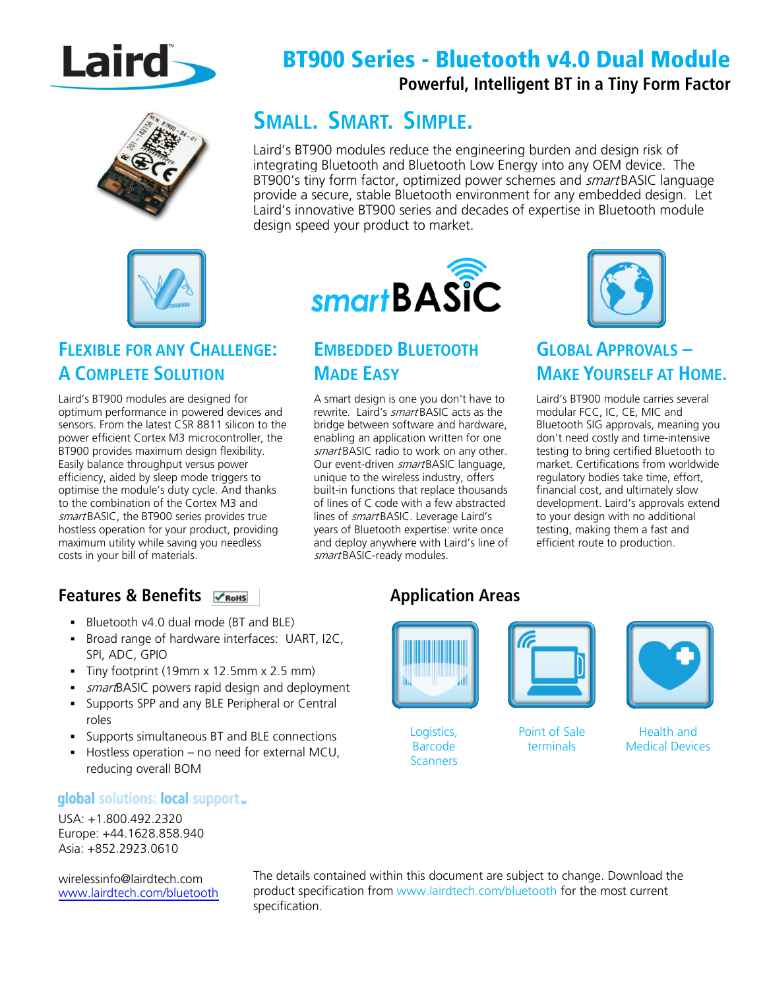

# BT900 Series - Bluetooth v4.0 Dual Module

#### **Powerful, Intelligent BT in a Tiny Form Factor**



## **SMALL. SMART. SIMPLE.**

Laird's BT900 modules reduce the engineering burden and design risk of integrating Bluetooth and Bluetooth Low Energy into any OEM device. The BT900's tiny form factor, optimized power schemes and *smart* BASIC language provide a secure, stable Bluetooth environment for any embedded design. Let Laird's innovative BT900 series and decades of expertise in Bluetooth module design speed your product to market.



#### **FLEXIBLE FOR ANY CHALLENGE: A COMPLETE SOLUTION**

Laird's BT900 modules are designed for optimum performance in powered devices and sensors. From the latest CSR 8811 silicon to the power efficient Cortex M3 microcontroller, the BT900 provides maximum design flexibility. Easily balance throughput versus power efficiency, aided by sleep mode triggers to optimise the module's duty cycle. And thanks to the combination of the Cortex M3 and smart BASIC, the BT900 series provides true hostless operation for your product, providing maximum utility while saving you needless costs in your bill of materials.

# smartBASIC

#### **EMBEDDED BLUETOOTH MADE EASY**

A smart design is one you don't have to rewrite. Laird's smart BASIC acts as the bridge between software and hardware, enabling an application written for one smart BASIC radio to work on any other. Our event-driven smartBASIC language, unique to the wireless industry, offers built-in functions that replace thousands of lines of C code with a few abstracted lines of smart BASIC. Leverage Laird's years of Bluetooth expertise: write once and deploy anywhere with Laird's line of smart BASIC-ready modules.



## **GLOBAL APPROVALS – MAKE YOURSELF AT HOME.**

Laird's BT900 module carries several modular FCC, IC, CE, MIC and Bluetooth SIG approvals, meaning you don't need costly and time-intensive testing to bring certified Bluetooth to market. Certifications from worldwide regulatory bodies take time, effort, financial cost, and ultimately slow development. Laird's approvals extend to your design with no additional testing, making them a fast and efficient route to production.

#### **Features & Benefits**

- Bluetooth v4.0 dual mode (BT and BLE)
- **Broad range of hardware interfaces: UART, I2C,** SPI, ADC, GPIO
- Tiny footprint (19mm x 12.5mm x 2.5 mm)
- smartBASIC powers rapid design and deployment
- **Supports SPP and any BLE Peripheral or Central** roles
- Supports simultaneous BT and BLE connections
- Hostless operation no need for external MCU, reducing overall BOM

#### global solutions: local support.

USA: +1.800.492.2320 Europe: +44.1628.858.940 Asia: +852.2923.0610

[wirelessinfo@lairdtech.com](mailto:wirelessinfo@lairdtech.com) [www.lairdtech.com/bluetooth](http://www.lairdtech.com/bluetooth)

The details contained within this document are subject to change. Download the product specification from [www.lairdtech.com/bluetooth](http://www.lairdtech.com/bluetooth) for the most current specification.



Logistics, Barcode **Scanners** 

**Application Areas**



Point of Sale terminals



Health and Medical Devices